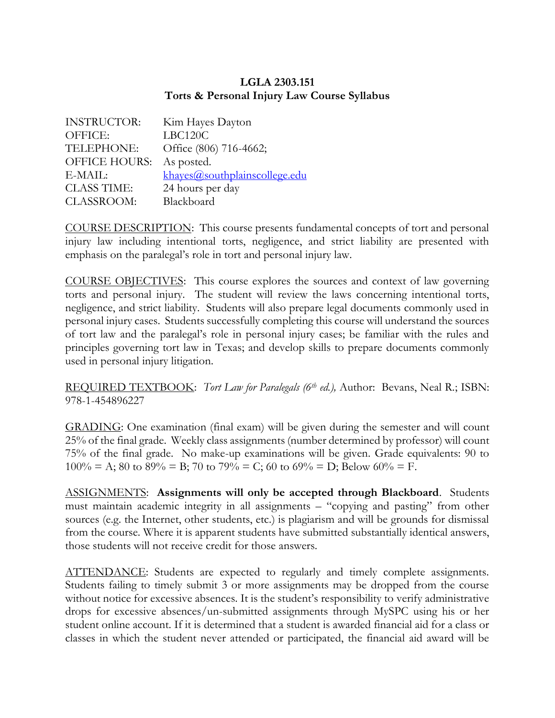## **LGLA 2303.151 Torts & Personal Injury Law Course Syllabus**

| <b>INSTRUCTOR:</b>   | Kim Hayes Dayton              |
|----------------------|-------------------------------|
| OFFICE:              | LBC120C                       |
| TELEPHONE:           | Office (806) 716-4662;        |
| <b>OFFICE HOURS:</b> | As posted.                    |
| $E-MAIL:$            | khayes@southplainscollege.edu |
| <b>CLASS TIME:</b>   | 24 hours per day              |
| CLASSROOM:           | Blackboard                    |

COURSE DESCRIPTION: This course presents fundamental concepts of tort and personal injury law including intentional torts, negligence, and strict liability are presented with emphasis on the paralegal's role in tort and personal injury law.

COURSE OBJECTIVES: This course explores the sources and context of law governing torts and personal injury. The student will review the laws concerning intentional torts, negligence, and strict liability. Students will also prepare legal documents commonly used in personal injury cases. Students successfully completing this course will understand the sources of tort law and the paralegal's role in personal injury cases; be familiar with the rules and principles governing tort law in Texas; and develop skills to prepare documents commonly used in personal injury litigation.

REQUIRED TEXTBOOK: *Tort Law for Paralegals (6th ed.),* Author: Bevans, Neal R.; ISBN: 978-1-454896227

GRADING: One examination (final exam) will be given during the semester and will count 25% of the final grade. Weekly class assignments (number determined by professor) will count 75% of the final grade. No make-up examinations will be given. Grade equivalents: 90 to  $100\% = A$ ; 80 to 89% = B; 70 to 79% = C; 60 to 69% = D; Below 60% = F.

ASSIGNMENTS: **Assignments will only be accepted through Blackboard**. Students must maintain academic integrity in all assignments – "copying and pasting" from other sources (e.g. the Internet, other students, etc.) is plagiarism and will be grounds for dismissal from the course. Where it is apparent students have submitted substantially identical answers, those students will not receive credit for those answers.

ATTENDANCE: Students are expected to regularly and timely complete assignments. Students failing to timely submit 3 or more assignments may be dropped from the course without notice for excessive absences. It is the student's responsibility to verify administrative drops for excessive absences/un-submitted assignments through MySPC using his or her student online account. If it is determined that a student is awarded financial aid for a class or classes in which the student never attended or participated, the financial aid award will be